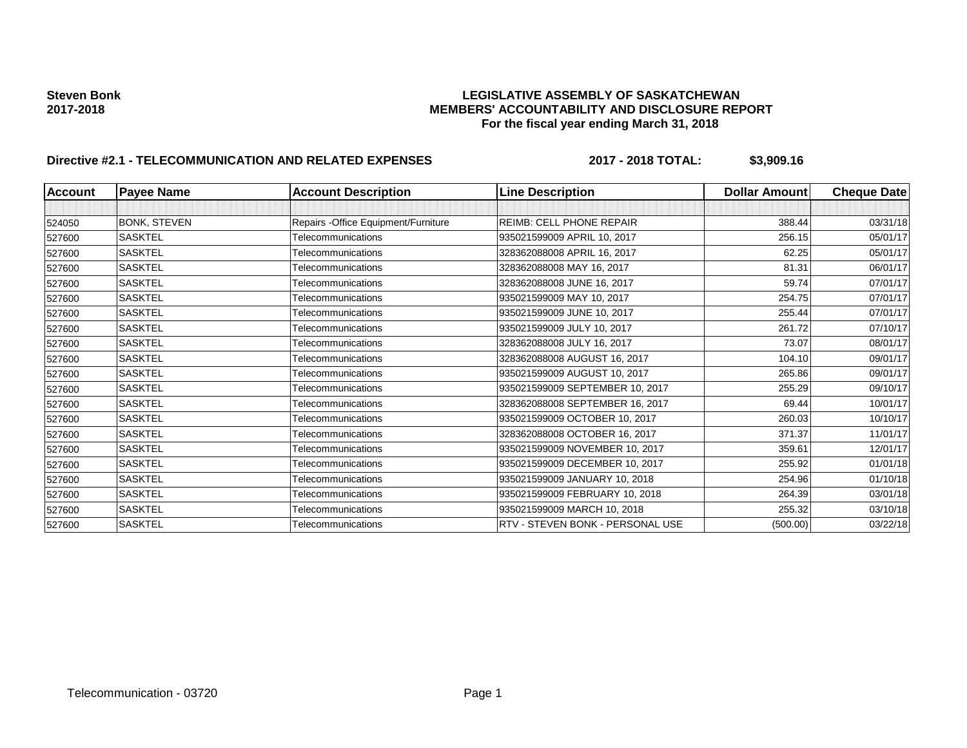# **Steven Bonk LEGISLATIVE ASSEMBLY OF SASKATCHEWAN 2017-2018 MEMBERS' ACCOUNTABILITY AND DISCLOSURE REPORT For the fiscal year ending March 31, 2018**

# **Directive #2.1 - TELECOMMUNICATION AND RELATED EXPENSES** 2017 - 2018 TOTAL: \$3,909.16

| <b>Account</b> | <b>Payee Name</b>   | <b>Account Description</b>           | <b>Line Description</b>          | <b>Dollar Amount</b> | <b>Cheque Date</b> |
|----------------|---------------------|--------------------------------------|----------------------------------|----------------------|--------------------|
|                |                     |                                      |                                  |                      |                    |
| 524050         | <b>BONK, STEVEN</b> | Repairs - Office Equipment/Furniture | <b>REIMB: CELL PHONE REPAIR</b>  | 388.44               | 03/31/18           |
| 527600         | <b>SASKTEL</b>      | Telecommunications                   | 935021599009 APRIL 10, 2017      | 256.15               | 05/01/17           |
| 527600         | <b>SASKTEL</b>      | Telecommunications                   | 328362088008 APRIL 16, 2017      | 62.25                | 05/01/17           |
| 527600         | <b>SASKTEL</b>      | Telecommunications                   | 328362088008 MAY 16, 2017        | 81.31                | 06/01/17           |
| 527600         | <b>SASKTEL</b>      | Telecommunications                   | 328362088008 JUNE 16, 2017       | 59.74                | 07/01/17           |
| 527600         | SASKTEL             | Telecommunications                   | 935021599009 MAY 10, 2017        | 254.75               | 07/01/17           |
| 527600         | <b>SASKTEL</b>      | Telecommunications                   | 935021599009 JUNE 10, 2017       | 255.44               | 07/01/17           |
| 527600         | <b>SASKTEL</b>      | Telecommunications                   | 935021599009 JULY 10, 2017       | 261.72               | 07/10/17           |
| 527600         | <b>SASKTEL</b>      | Telecommunications                   | 328362088008 JULY 16, 2017       | 73.07                | 08/01/17           |
| 527600         | <b>SASKTEL</b>      | Telecommunications                   | 328362088008 AUGUST 16, 2017     | 104.10               | 09/01/17           |
| 527600         | <b>SASKTEL</b>      | Telecommunications                   | 935021599009 AUGUST 10, 2017     | 265.86               | 09/01/17           |
| 527600         | <b>SASKTEL</b>      | Telecommunications                   | 935021599009 SEPTEMBER 10, 2017  | 255.29               | 09/10/17           |
| 527600         | <b>SASKTEL</b>      | Telecommunications                   | 328362088008 SEPTEMBER 16, 2017  | 69.44                | 10/01/17           |
| 527600         | <b>SASKTEL</b>      | Telecommunications                   | 935021599009 OCTOBER 10, 2017    | 260.03               | 10/10/17           |
| 527600         | <b>SASKTEL</b>      | Telecommunications                   | 328362088008 OCTOBER 16, 2017    | 371.37               | 11/01/17           |
| 527600         | <b>SASKTEL</b>      | Telecommunications                   | 935021599009 NOVEMBER 10, 2017   | 359.61               | 12/01/17           |
| 527600         | <b>SASKTEL</b>      | Telecommunications                   | 935021599009 DECEMBER 10, 2017   | 255.92               | 01/01/18           |
| 527600         | <b>SASKTEL</b>      | Telecommunications                   | 935021599009 JANUARY 10, 2018    | 254.96               | 01/10/18           |
| 527600         | <b>SASKTEL</b>      | Telecommunications                   | 935021599009 FEBRUARY 10, 2018   | 264.39               | 03/01/18           |
| 527600         | <b>SASKTEL</b>      | Telecommunications                   | 935021599009 MARCH 10, 2018      | 255.32               | 03/10/18           |
| 527600         | SASKTEL             | Telecommunications                   | RTV - STEVEN BONK - PERSONAL USE | (500.00)             | 03/22/18           |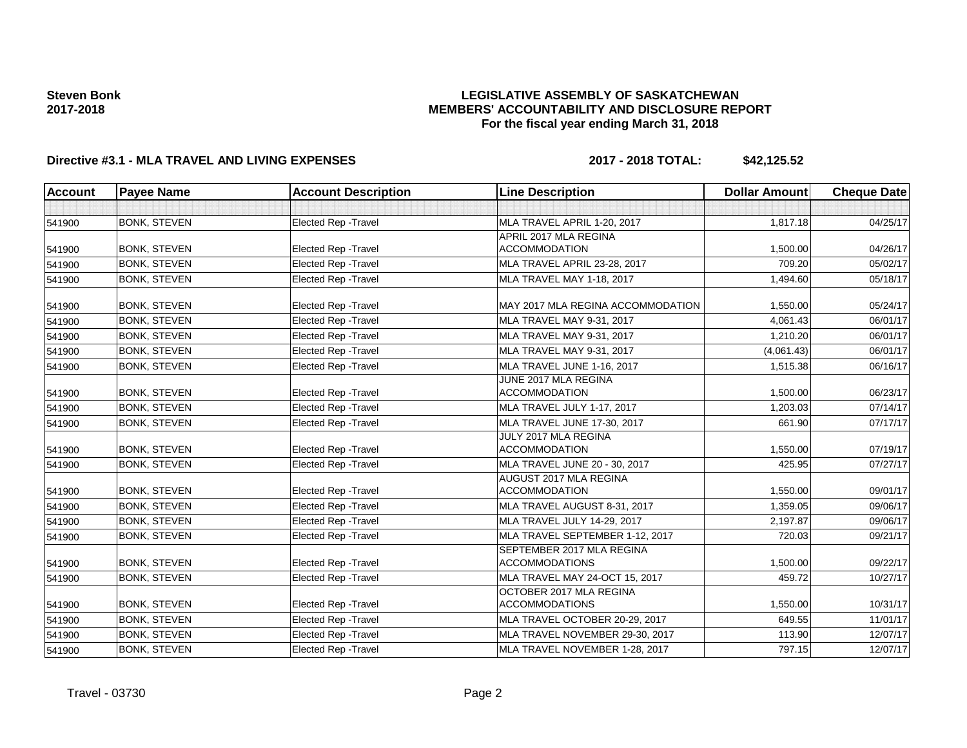# **LEGISLATIVE ASSEMBLY OF SASKATCHEWAN MEMBERS' ACCOUNTABILITY AND DISCLOSURE REPORT For the fiscal year ending March 31, 2018**

# **Directive #3.1 - MLA TRAVEL AND LIVING EXPENSES 2017 - 2018 TOTAL: \$42,125.52**

| <b>Account</b> | <b>Payee Name</b>   | <b>Account Description</b>  | <b>Line Description</b>                        | <b>Dollar Amount</b> | <b>Cheque Date</b> |
|----------------|---------------------|-----------------------------|------------------------------------------------|----------------------|--------------------|
|                |                     |                             |                                                |                      |                    |
| 541900         | <b>BONK, STEVEN</b> | Elected Rep - Travel        | MLA TRAVEL APRIL 1-20, 2017                    | 1,817.18             | 04/25/17           |
|                |                     |                             | APRIL 2017 MLA REGINA                          |                      |                    |
| 541900         | <b>BONK, STEVEN</b> | <b>Elected Rep - Travel</b> | <b>ACCOMMODATION</b>                           | 1,500.00             | 04/26/17           |
| 541900         | <b>BONK, STEVEN</b> | <b>Elected Rep - Travel</b> | MLA TRAVEL APRIL 23-28, 2017                   | 709.20               | 05/02/17           |
| 541900         | <b>BONK, STEVEN</b> | <b>Elected Rep - Travel</b> | MLA TRAVEL MAY 1-18, 2017                      | 1,494.60             | 05/18/17           |
| 541900         | <b>BONK, STEVEN</b> | <b>Elected Rep - Travel</b> | MAY 2017 MLA REGINA ACCOMMODATION              | 1,550.00             | 05/24/17           |
| 541900         | <b>BONK, STEVEN</b> | <b>Elected Rep - Travel</b> | MLA TRAVEL MAY 9-31, 2017                      | 4.061.43             | 06/01/17           |
| 541900         | <b>BONK, STEVEN</b> | Elected Rep - Travel        | MLA TRAVEL MAY 9-31, 2017                      | 1,210.20             | 06/01/17           |
| 541900         | <b>BONK, STEVEN</b> | <b>Elected Rep - Travel</b> | MLA TRAVEL MAY 9-31, 2017                      | (4,061.43)           | 06/01/17           |
| 541900         | <b>BONK, STEVEN</b> | <b>Elected Rep - Travel</b> | MLA TRAVEL JUNE 1-16, 2017                     | 1,515.38             | 06/16/17           |
|                |                     |                             | JUNE 2017 MLA REGINA                           |                      |                    |
| 541900         | <b>BONK, STEVEN</b> | <b>Elected Rep - Travel</b> | <b>ACCOMMODATION</b>                           | 1,500.00             | 06/23/17           |
| 541900         | <b>BONK, STEVEN</b> | Elected Rep - Travel        | MLA TRAVEL JULY 1-17, 2017                     | 1,203.03             | 07/14/17           |
| 541900         | <b>BONK, STEVEN</b> | <b>Elected Rep - Travel</b> | MLA TRAVEL JUNE 17-30, 2017                    | 661.90               | 07/17/17           |
|                | <b>BONK, STEVEN</b> | <b>Elected Rep - Travel</b> | JULY 2017 MLA REGINA<br><b>ACCOMMODATION</b>   | 1,550.00             | 07/19/17           |
| 541900         |                     |                             |                                                |                      |                    |
| 541900         | <b>BONK, STEVEN</b> | <b>Elected Rep - Travel</b> | MLA TRAVEL JUNE 20 - 30, 2017                  | 425.95               | 07/27/17           |
| 541900         | <b>BONK, STEVEN</b> | <b>Elected Rep - Travel</b> | AUGUST 2017 MLA REGINA<br><b>ACCOMMODATION</b> | 1,550.00             | 09/01/17           |
| 541900         | <b>BONK, STEVEN</b> | <b>Elected Rep - Travel</b> | MLA TRAVEL AUGUST 8-31, 2017                   | 1,359.05             | 09/06/17           |
| 541900         | <b>BONK, STEVEN</b> | <b>Elected Rep - Travel</b> | MLA TRAVEL JULY 14-29, 2017                    | 2,197.87             | 09/06/17           |
| 541900         | <b>BONK, STEVEN</b> | Elected Rep - Travel        | MLA TRAVEL SEPTEMBER 1-12, 2017                | 720.03               | 09/21/17           |
|                |                     |                             | SEPTEMBER 2017 MLA REGINA                      |                      |                    |
| 541900         | <b>BONK, STEVEN</b> | <b>Elected Rep - Travel</b> | <b>ACCOMMODATIONS</b>                          | 1,500.00             | 09/22/17           |
| 541900         | <b>BONK, STEVEN</b> | Elected Rep - Travel        | MLA TRAVEL MAY 24-OCT 15, 2017                 | 459.72               | 10/27/17           |
|                |                     |                             | OCTOBER 2017 MLA REGINA                        |                      |                    |
| 541900         | <b>BONK, STEVEN</b> | <b>Elected Rep - Travel</b> | <b>ACCOMMODATIONS</b>                          | 1.550.00             | 10/31/17           |
| 541900         | <b>BONK, STEVEN</b> | <b>Elected Rep - Travel</b> | MLA TRAVEL OCTOBER 20-29, 2017                 | 649.55               | 11/01/17           |
| 541900         | <b>BONK, STEVEN</b> | Elected Rep - Travel        | MLA TRAVEL NOVEMBER 29-30, 2017                | 113.90               | 12/07/17           |
| 541900         | <b>BONK, STEVEN</b> | <b>Elected Rep - Travel</b> | MLA TRAVEL NOVEMBER 1-28, 2017                 | 797.15               | 12/07/17           |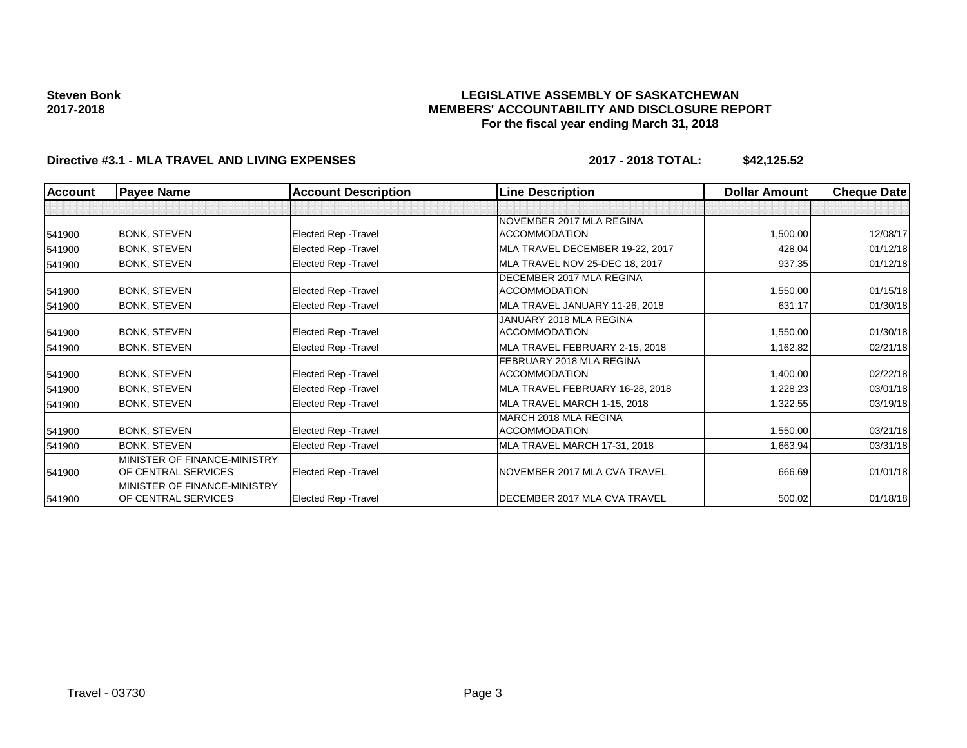# **LEGISLATIVE ASSEMBLY OF SASKATCHEWAN MEMBERS' ACCOUNTABILITY AND DISCLOSURE REPORT For the fiscal year ending March 31, 2018**

# **Directive #3.1 - MLA TRAVEL AND LIVING EXPENSES 2017 - 2018 TOTAL: \$42,125.52**

| <b>Account</b> | <b>Payee Name</b>            | <b>Account Description</b>  | <b>Line Description</b>         | Dollar Amount | <b>Cheque Date</b> |
|----------------|------------------------------|-----------------------------|---------------------------------|---------------|--------------------|
|                |                              |                             |                                 |               |                    |
|                |                              |                             | NOVEMBER 2017 MLA REGINA        |               |                    |
| 541900         | <b>BONK, STEVEN</b>          | Elected Rep - Travel        | <b>ACCOMMODATION</b>            | 1,500.00      | 12/08/17           |
| 541900         | BONK, STEVEN                 | Elected Rep - Travel        | MLA TRAVEL DECEMBER 19-22, 2017 | 428.04        | 01/12/18           |
| 541900         | <b>BONK, STEVEN</b>          | Elected Rep - Travel        | MLA TRAVEL NOV 25-DEC 18, 2017  | 937.35        | 01/12/18           |
|                |                              |                             | DECEMBER 2017 MLA REGINA        |               |                    |
| 541900         | <b>BONK, STEVEN</b>          | <b>Elected Rep - Travel</b> | <b>ACCOMMODATION</b>            | 1,550.00      | 01/15/18           |
| 541900         | <b>BONK, STEVEN</b>          | Elected Rep - Travel        | MLA TRAVEL JANUARY 11-26, 2018  | 631.17        | 01/30/18           |
|                |                              |                             | JANUARY 2018 MLA REGINA         |               |                    |
| 541900         | <b>BONK, STEVEN</b>          | Elected Rep - Travel        | <b>ACCOMMODATION</b>            | 1,550.00      | 01/30/18           |
| 541900         | <b>BONK, STEVEN</b>          | Elected Rep - Travel        | MLA TRAVEL FEBRUARY 2-15, 2018  | 1,162.82      | 02/21/18           |
|                |                              |                             | FEBRUARY 2018 MLA REGINA        |               |                    |
| 541900         | <b>BONK, STEVEN</b>          | Elected Rep - Travel        | <b>ACCOMMODATION</b>            | 1,400.00      | 02/22/18           |
| 541900         | <b>BONK, STEVEN</b>          | Elected Rep - Travel        | MLA TRAVEL FEBRUARY 16-28, 2018 | 1,228.23      | 03/01/18           |
| 541900         | <b>BONK, STEVEN</b>          | Elected Rep - Travel        | MLA TRAVEL MARCH 1-15, 2018     | 1,322.55      | 03/19/18           |
|                |                              |                             | MARCH 2018 MLA REGINA           |               |                    |
| 541900         | <b>BONK, STEVEN</b>          | Elected Rep - Travel        | <b>ACCOMMODATION</b>            | 1,550.00      | 03/21/18           |
| 541900         | <b>BONK, STEVEN</b>          | Elected Rep - Travel        | MLA TRAVEL MARCH 17-31, 2018    | 1,663.94      | 03/31/18           |
|                | MINISTER OF FINANCE-MINISTRY |                             |                                 |               |                    |
| 541900         | OF CENTRAL SERVICES          | Elected Rep - Travel        | NOVEMBER 2017 MLA CVA TRAVEL    | 666.69        | 01/01/18           |
|                | MINISTER OF FINANCE-MINISTRY |                             |                                 |               |                    |
| 541900         | OF CENTRAL SERVICES          | Elected Rep - Travel        | DECEMBER 2017 MLA CVA TRAVEL    | 500.02        | 01/18/18           |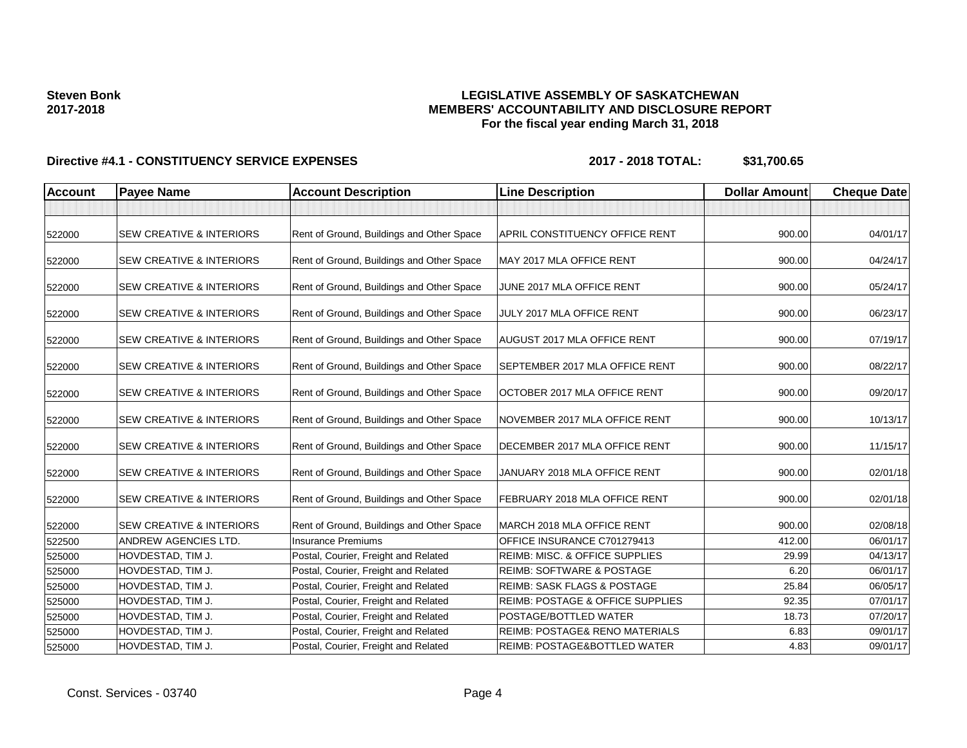# **LEGISLATIVE ASSEMBLY OF SASKATCHEWAN MEMBERS' ACCOUNTABILITY AND DISCLOSURE REPORT For the fiscal year ending March 31, 2018**

| <b>Account</b> | <b>Payee Name</b>                   | <b>Account Description</b>                | <b>Line Description</b>                   | <b>Dollar Amount</b> | <b>Cheque Date</b> |
|----------------|-------------------------------------|-------------------------------------------|-------------------------------------------|----------------------|--------------------|
|                |                                     |                                           |                                           |                      |                    |
| 522000         | <b>SEW CREATIVE &amp; INTERIORS</b> | Rent of Ground, Buildings and Other Space | APRIL CONSTITUENCY OFFICE RENT            | 900.00               | 04/01/17           |
| 522000         | <b>SEW CREATIVE &amp; INTERIORS</b> | Rent of Ground, Buildings and Other Space | MAY 2017 MLA OFFICE RENT                  | 900.00               | 04/24/17           |
| 522000         | <b>SEW CREATIVE &amp; INTERIORS</b> | Rent of Ground, Buildings and Other Space | JUNE 2017 MLA OFFICE RENT                 | 900.00               | 05/24/17           |
| 522000         | <b>SEW CREATIVE &amp; INTERIORS</b> | Rent of Ground, Buildings and Other Space | JULY 2017 MLA OFFICE RENT                 | 900.00               | 06/23/17           |
| 522000         | <b>SEW CREATIVE &amp; INTERIORS</b> | Rent of Ground, Buildings and Other Space | AUGUST 2017 MLA OFFICE RENT               | 900.00               | 07/19/17           |
| 522000         | <b>SEW CREATIVE &amp; INTERIORS</b> | Rent of Ground, Buildings and Other Space | SEPTEMBER 2017 MLA OFFICE RENT            | 900.00               | 08/22/17           |
| 522000         | <b>SEW CREATIVE &amp; INTERIORS</b> | Rent of Ground, Buildings and Other Space | OCTOBER 2017 MLA OFFICE RENT              | 900.00               | 09/20/17           |
| 522000         | <b>SEW CREATIVE &amp; INTERIORS</b> | Rent of Ground, Buildings and Other Space | NOVEMBER 2017 MLA OFFICE RENT             | 900.00               | 10/13/17           |
| 522000         | <b>SEW CREATIVE &amp; INTERIORS</b> | Rent of Ground, Buildings and Other Space | DECEMBER 2017 MLA OFFICE RENT             | 900.00               | 11/15/17           |
| 522000         | <b>SEW CREATIVE &amp; INTERIORS</b> | Rent of Ground, Buildings and Other Space | JANUARY 2018 MLA OFFICE RENT              | 900.00               | 02/01/18           |
| 522000         | <b>SEW CREATIVE &amp; INTERIORS</b> | Rent of Ground, Buildings and Other Space | FEBRUARY 2018 MLA OFFICE RENT             | 900.00               | 02/01/18           |
| 522000         | <b>SEW CREATIVE &amp; INTERIORS</b> | Rent of Ground, Buildings and Other Space | MARCH 2018 MLA OFFICE RENT                | 900.00               | 02/08/18           |
| 522500         | <b>ANDREW AGENCIES LTD.</b>         | <b>Insurance Premiums</b>                 | OFFICE INSURANCE C701279413               | 412.00               | 06/01/17           |
| 525000         | HOVDESTAD, TIM J.                   | Postal, Courier, Freight and Related      | <b>REIMB: MISC. &amp; OFFICE SUPPLIES</b> | 29.99                | 04/13/17           |
| 525000         | HOVDESTAD, TIM J.                   | Postal, Courier, Freight and Related      | <b>REIMB: SOFTWARE &amp; POSTAGE</b>      | 6.20                 | 06/01/17           |
| 525000         | HOVDESTAD, TIM J.                   | Postal, Courier, Freight and Related      | <b>REIMB: SASK FLAGS &amp; POSTAGE</b>    | 25.84                | 06/05/17           |
| 525000         | HOVDESTAD, TIM J.                   | Postal, Courier, Freight and Related      | REIMB: POSTAGE & OFFICE SUPPLIES          | 92.35                | 07/01/17           |
| 525000         | HOVDESTAD, TIM J.                   | Postal, Courier, Freight and Related      | POSTAGE/BOTTLED WATER                     | 18.73                | 07/20/17           |
| 525000         | HOVDESTAD, TIM J.                   | Postal, Courier, Freight and Related      | <b>REIMB: POSTAGE&amp; RENO MATERIALS</b> | 6.83                 | 09/01/17           |
| 525000         | HOVDESTAD, TIM J.                   | Postal, Courier, Freight and Related      | REIMB: POSTAGE&BOTTLED WATER              | 4.83                 | 09/01/17           |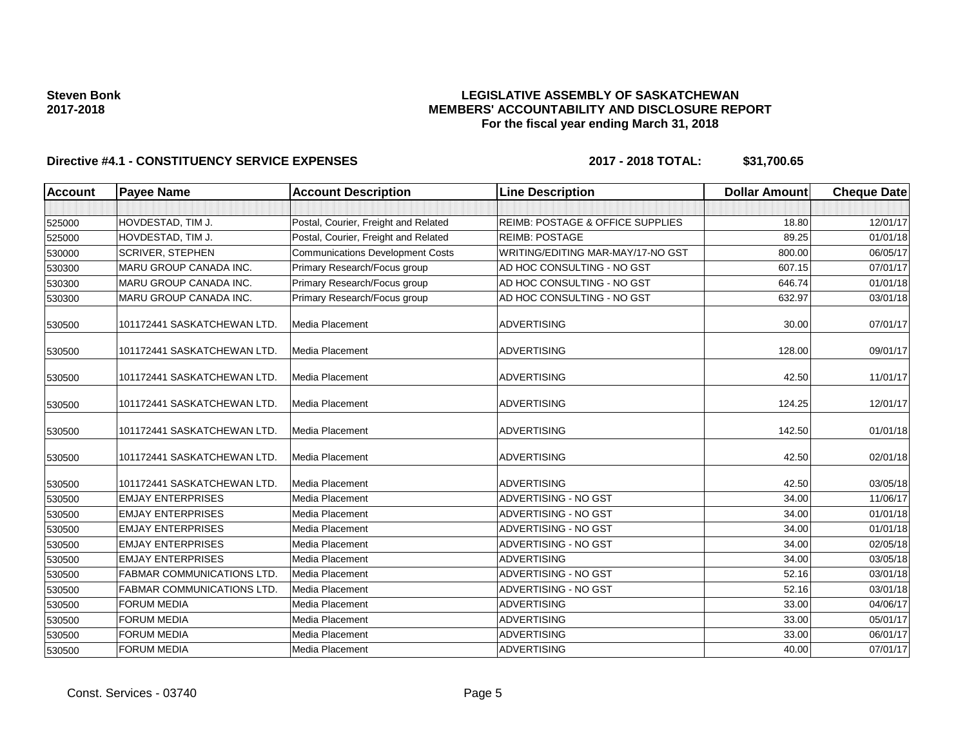# **LEGISLATIVE ASSEMBLY OF SASKATCHEWAN MEMBERS' ACCOUNTABILITY AND DISCLOSURE REPORT For the fiscal year ending March 31, 2018**

| <b>Account</b> | <b>Payee Name</b>                 | <b>Account Description</b>              | <b>Line Description</b>                     | <b>Dollar Amount</b> | <b>Cheque Date</b> |
|----------------|-----------------------------------|-----------------------------------------|---------------------------------------------|----------------------|--------------------|
|                |                                   |                                         |                                             |                      |                    |
| 525000         | HOVDESTAD, TIM J.                 | Postal, Courier, Freight and Related    | <b>REIMB: POSTAGE &amp; OFFICE SUPPLIES</b> | 18.80                | 12/01/17           |
| 525000         | HOVDESTAD, TIM J.                 | Postal, Courier, Freight and Related    | <b>REIMB: POSTAGE</b>                       | 89.25                | 01/01/18           |
| 530000         | <b>SCRIVER, STEPHEN</b>           | <b>Communications Development Costs</b> | WRITING/EDITING MAR-MAY/17-NO GST           | 800.00               | 06/05/17           |
| 530300         | MARU GROUP CANADA INC.            | Primary Research/Focus group            | AD HOC CONSULTING - NO GST                  | 607.15               | 07/01/17           |
| 530300         | <b>MARU GROUP CANADA INC.</b>     | Primary Research/Focus group            | AD HOC CONSULTING - NO GST                  | 646.74               | 01/01/18           |
| 530300         | MARU GROUP CANADA INC.            | Primary Research/Focus group            | AD HOC CONSULTING - NO GST                  | 632.97               | 03/01/18           |
| 530500         | 101172441 SASKATCHEWAN LTD        | Media Placement                         | <b>ADVERTISING</b>                          | 30.00                | 07/01/17           |
| 530500         | 101172441 SASKATCHEWAN LTD.       | Media Placement                         | <b>ADVERTISING</b>                          | 128.00               | 09/01/17           |
| 530500         | 101172441 SASKATCHEWAN LTD.       | Media Placement                         | <b>ADVERTISING</b>                          | 42.50                | 11/01/17           |
| 530500         | 101172441 SASKATCHEWAN LTD.       | Media Placement                         | <b>ADVERTISING</b>                          | 124.25               | 12/01/17           |
| 530500         | 101172441 SASKATCHEWAN LTD.       | Media Placement                         | <b>ADVERTISING</b>                          | 142.50               | 01/01/18           |
| 530500         | 101172441 SASKATCHEWAN LTD.       | Media Placement                         | <b>ADVERTISING</b>                          | 42.50                | 02/01/18           |
| 530500         | 101172441 SASKATCHEWAN LTD.       | Media Placement                         | <b>ADVERTISING</b>                          | 42.50                | 03/05/18           |
| 530500         | <b>EMJAY ENTERPRISES</b>          | Media Placement                         | ADVERTISING - NO GST                        | 34.00                | 11/06/17           |
| 530500         | <b>EMJAY ENTERPRISES</b>          | Media Placement                         | ADVERTISING - NO GST                        | 34.00                | 01/01/18           |
| 530500         | <b>EMJAY ENTERPRISES</b>          | Media Placement                         | ADVERTISING - NO GST                        | 34.00                | 01/01/18           |
| 530500         | <b>EMJAY ENTERPRISES</b>          | Media Placement                         | ADVERTISING - NO GST                        | 34.00                | 02/05/18           |
| 530500         | <b>EMJAY ENTERPRISES</b>          | Media Placement                         | <b>ADVERTISING</b>                          | 34.00                | 03/05/18           |
| 530500         | <b>FABMAR COMMUNICATIONS LTD.</b> | Media Placement                         | ADVERTISING - NO GST                        | 52.16                | 03/01/18           |
| 530500         | <b>FABMAR COMMUNICATIONS LTD.</b> | Media Placement                         | ADVERTISING - NO GST                        | 52.16                | 03/01/18           |
| 530500         | <b>FORUM MEDIA</b>                | Media Placement                         | <b>ADVERTISING</b>                          | 33.00                | 04/06/17           |
| 530500         | <b>FORUM MEDIA</b>                | Media Placement                         | <b>ADVERTISING</b>                          | 33.00                | 05/01/17           |
| 530500         | <b>FORUM MEDIA</b>                | Media Placement                         | <b>ADVERTISING</b>                          | 33.00                | 06/01/17           |
| 530500         | <b>FORUM MEDIA</b>                | Media Placement                         | <b>ADVERTISING</b>                          | 40.00                | 07/01/17           |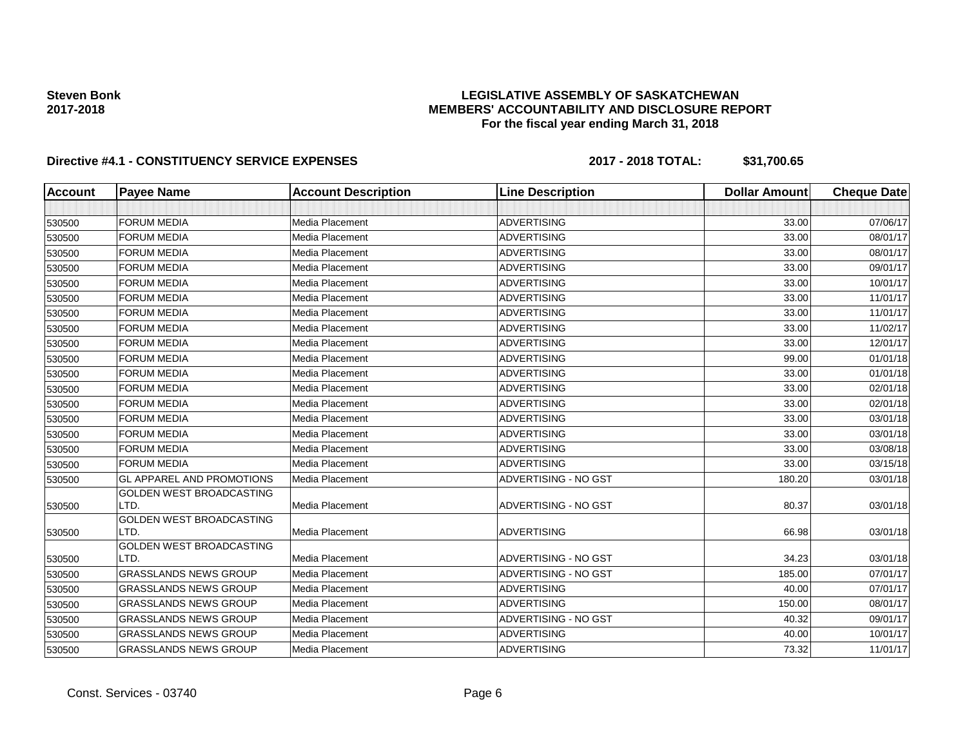# **LEGISLATIVE ASSEMBLY OF SASKATCHEWAN MEMBERS' ACCOUNTABILITY AND DISCLOSURE REPORT For the fiscal year ending March 31, 2018**

| Account | <b>Payee Name</b>                | <b>Account Description</b> | <b>Line Description</b> | <b>Dollar Amount</b> | <b>Cheque Date</b> |
|---------|----------------------------------|----------------------------|-------------------------|----------------------|--------------------|
|         |                                  |                            |                         |                      |                    |
| 530500  | <b>FORUM MEDIA</b>               | Media Placement            | <b>ADVERTISING</b>      | 33.00                | 07/06/17           |
| 530500  | <b>FORUM MEDIA</b>               | Media Placement            | <b>ADVERTISING</b>      | 33.00                | 08/01/17           |
| 530500  | <b>FORUM MEDIA</b>               | Media Placement            | <b>ADVERTISING</b>      | 33.00                | 08/01/17           |
| 530500  | <b>FORUM MEDIA</b>               | Media Placement            | <b>ADVERTISING</b>      | 33.00                | 09/01/17           |
| 530500  | <b>FORUM MEDIA</b>               | Media Placement            | <b>ADVERTISING</b>      | 33.00                | 10/01/17           |
| 530500  | <b>FORUM MEDIA</b>               | Media Placement            | <b>ADVERTISING</b>      | 33.00                | 11/01/17           |
| 530500  | <b>FORUM MEDIA</b>               | Media Placement            | <b>ADVERTISING</b>      | 33.00                | 11/01/17           |
| 530500  | <b>FORUM MEDIA</b>               | Media Placement            | <b>ADVERTISING</b>      | 33.00                | 11/02/17           |
| 530500  | <b>FORUM MEDIA</b>               | Media Placement            | <b>ADVERTISING</b>      | 33.00                | 12/01/17           |
| 530500  | <b>FORUM MEDIA</b>               | Media Placement            | <b>ADVERTISING</b>      | 99.00                | 01/01/18           |
| 530500  | <b>FORUM MEDIA</b>               | Media Placement            | <b>ADVERTISING</b>      | 33.00                | 01/01/18           |
| 530500  | <b>FORUM MEDIA</b>               | <b>Media Placement</b>     | <b>ADVERTISING</b>      | 33.00                | 02/01/18           |
| 530500  | <b>FORUM MEDIA</b>               | Media Placement            | <b>ADVERTISING</b>      | 33.00                | 02/01/18           |
| 530500  | <b>FORUM MEDIA</b>               | Media Placement            | <b>ADVERTISING</b>      | 33.00                | 03/01/18           |
| 530500  | <b>FORUM MEDIA</b>               | Media Placement            | <b>ADVERTISING</b>      | 33.00                | 03/01/18           |
| 530500  | <b>FORUM MEDIA</b>               | Media Placement            | <b>ADVERTISING</b>      | 33.00                | 03/08/18           |
| 530500  | <b>FORUM MEDIA</b>               | Media Placement            | <b>ADVERTISING</b>      | 33.00                | 03/15/18           |
| 530500  | <b>GL APPAREL AND PROMOTIONS</b> | Media Placement            | ADVERTISING - NO GST    | 180.20               | 03/01/18           |
|         | GOLDEN WEST BROADCASTING         |                            |                         |                      |                    |
| 530500  | LTD.                             | Media Placement            | ADVERTISING - NO GST    | 80.37                | 03/01/18           |
|         | GOLDEN WEST BROADCASTING<br>LTD. | Media Placement            | <b>ADVERTISING</b>      | 66.98                | 03/01/18           |
| 530500  | <b>GOLDEN WEST BROADCASTING</b>  |                            |                         |                      |                    |
| 530500  | LTD.                             | Media Placement            | ADVERTISING - NO GST    | 34.23                | 03/01/18           |
| 530500  | <b>GRASSLANDS NEWS GROUP</b>     | Media Placement            | ADVERTISING - NO GST    | 185.00               | 07/01/17           |
| 530500  | <b>GRASSLANDS NEWS GROUP</b>     | Media Placement            | <b>ADVERTISING</b>      | 40.00                | 07/01/17           |
| 530500  | <b>GRASSLANDS NEWS GROUP</b>     | <b>Media Placement</b>     | <b>ADVERTISING</b>      | 150.00               | 08/01/17           |
| 530500  | <b>GRASSLANDS NEWS GROUP</b>     | Media Placement            | ADVERTISING - NO GST    | 40.32                | 09/01/17           |
| 530500  | <b>GRASSLANDS NEWS GROUP</b>     | Media Placement            | ADVERTISING             | 40.00                | 10/01/17           |
| 530500  | <b>GRASSLANDS NEWS GROUP</b>     | Media Placement            | <b>ADVERTISING</b>      | 73.32                | 11/01/17           |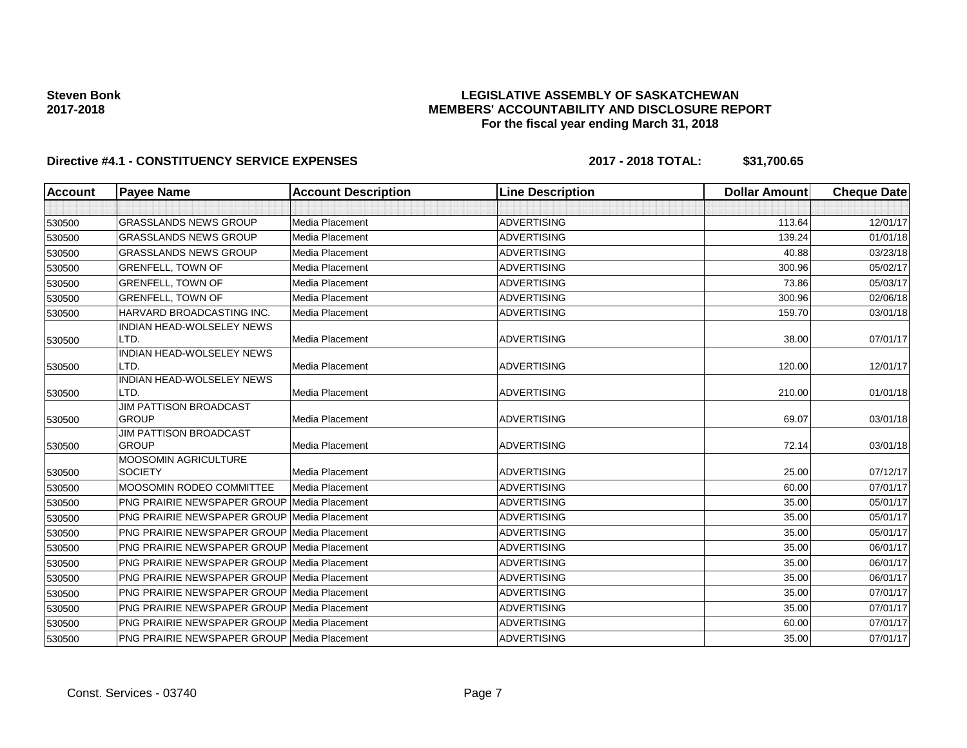# **LEGISLATIVE ASSEMBLY OF SASKATCHEWAN MEMBERS' ACCOUNTABILITY AND DISCLOSURE REPORT For the fiscal year ending March 31, 2018**

| Account | <b>Payee Name</b>                                  | <b>Account Description</b> | <b>Line Description</b> | <b>Dollar Amount</b> | <b>Cheque Date</b> |
|---------|----------------------------------------------------|----------------------------|-------------------------|----------------------|--------------------|
|         |                                                    |                            |                         |                      |                    |
| 530500  | <b>GRASSLANDS NEWS GROUP</b>                       | <b>Media Placement</b>     | <b>ADVERTISING</b>      | 113.64               | 12/01/17           |
| 530500  | <b>GRASSLANDS NEWS GROUP</b>                       | Media Placement            | <b>ADVERTISING</b>      | 139.24               | 01/01/18           |
| 530500  | <b>GRASSLANDS NEWS GROUP</b>                       | <b>Media Placement</b>     | <b>ADVERTISING</b>      | 40.88                | 03/23/18           |
| 530500  | <b>GRENFELL, TOWN OF</b>                           | Media Placement            | <b>ADVERTISING</b>      | 300.96               | 05/02/17           |
| 530500  | <b>GRENFELL, TOWN OF</b>                           | Media Placement            | <b>ADVERTISING</b>      | 73.86                | 05/03/17           |
| 530500  | <b>GRENFELL, TOWN OF</b>                           | <b>Media Placement</b>     | <b>ADVERTISING</b>      | 300.96               | 02/06/18           |
| 530500  | HARVARD BROADCASTING INC.                          | <b>Media Placement</b>     | <b>ADVERTISING</b>      | 159.70               | 03/01/18           |
| 530500  | INDIAN HEAD-WOLSELEY NEWS<br>LTD.                  | Media Placement            | <b>ADVERTISING</b>      | 38.00                | 07/01/17           |
|         | INDIAN HEAD-WOLSELEY NEWS                          |                            |                         |                      |                    |
| 530500  | LTD.                                               | Media Placement            | <b>ADVERTISING</b>      | 120.00               | 12/01/17           |
| 530500  | INDIAN HEAD-WOLSELEY NEWS<br>LTD.                  | Media Placement            | <b>ADVERTISING</b>      | 210.00               | 01/01/18           |
| 530500  | <b>JIM PATTISON BROADCAST</b><br><b>GROUP</b>      | <b>Media Placement</b>     | <b>ADVERTISING</b>      | 69.07                | 03/01/18           |
| 530500  | <b>JIM PATTISON BROADCAST</b><br><b>GROUP</b>      | <b>Media Placement</b>     | <b>ADVERTISING</b>      | 72.14                | 03/01/18           |
| 530500  | MOOSOMIN AGRICULTURE<br><b>SOCIETY</b>             | <b>Media Placement</b>     | <b>ADVERTISING</b>      | 25.00                | 07/12/17           |
| 530500  | MOOSOMIN RODEO COMMITTEE                           | Media Placement            | <b>ADVERTISING</b>      | 60.00                | 07/01/17           |
| 530500  | <b>PNG PRAIRIE NEWSPAPER GROUP Media Placement</b> |                            | <b>ADVERTISING</b>      | 35.00                | 05/01/17           |
| 530500  | <b>PNG PRAIRIE NEWSPAPER GROUP Media Placement</b> |                            | <b>ADVERTISING</b>      | 35.00                | 05/01/17           |
| 530500  | PNG PRAIRIE NEWSPAPER GROUP   Media Placement      |                            | <b>ADVERTISING</b>      | 35.00                | 05/01/17           |
| 530500  | <b>PNG PRAIRIE NEWSPAPER GROUP Media Placement</b> |                            | <b>ADVERTISING</b>      | 35.00                | 06/01/17           |
| 530500  | <b>PNG PRAIRIE NEWSPAPER GROUP Media Placement</b> |                            | <b>ADVERTISING</b>      | 35.00                | 06/01/17           |
| 530500  | <b>PNG PRAIRIE NEWSPAPER GROUP Media Placement</b> |                            | <b>ADVERTISING</b>      | 35.00                | 06/01/17           |
| 530500  | <b>PNG PRAIRIE NEWSPAPER GROUP Media Placement</b> |                            | <b>ADVERTISING</b>      | 35.00                | 07/01/17           |
| 530500  | <b>PNG PRAIRIE NEWSPAPER GROUP Media Placement</b> |                            | <b>ADVERTISING</b>      | 35.00                | 07/01/17           |
| 530500  | <b>PNG PRAIRIE NEWSPAPER GROUP Media Placement</b> |                            | <b>ADVERTISING</b>      | 60.00                | 07/01/17           |
| 530500  | PNG PRAIRIE NEWSPAPER GROUP Media Placement        |                            | <b>ADVERTISING</b>      | 35.00                | 07/01/17           |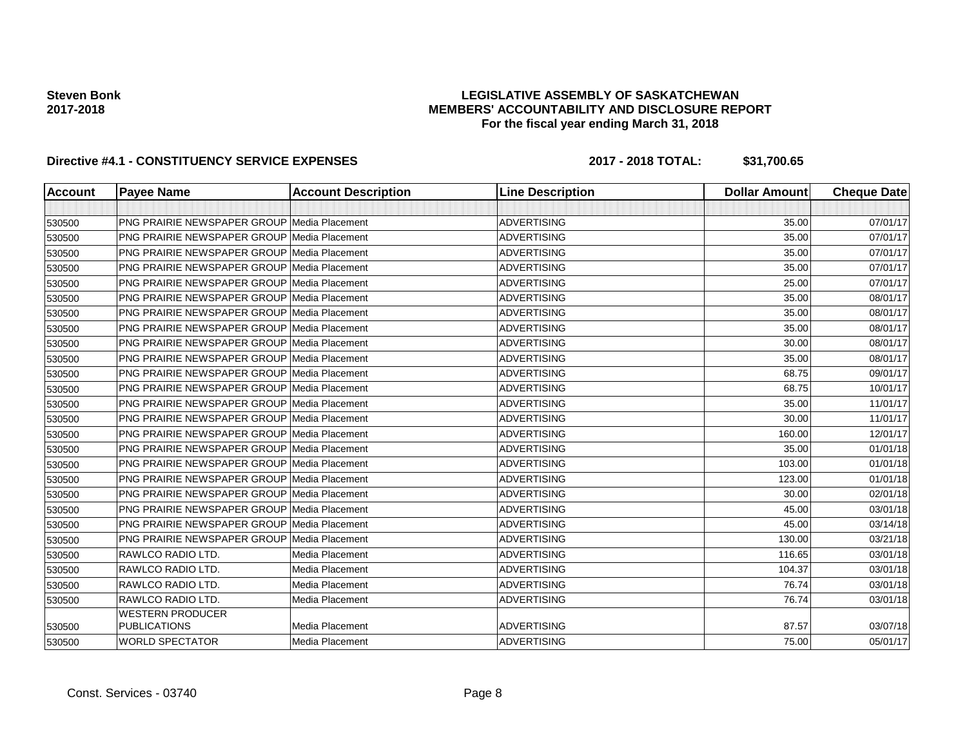# **LEGISLATIVE ASSEMBLY OF SASKATCHEWAN MEMBERS' ACCOUNTABILITY AND DISCLOSURE REPORT For the fiscal year ending March 31, 2018**

| <b>Account</b> | <b>Payee Name</b>                                  | <b>Account Description</b> | <b>Line Description</b> | <b>Dollar Amount</b> | <b>Cheque Date</b> |
|----------------|----------------------------------------------------|----------------------------|-------------------------|----------------------|--------------------|
|                |                                                    |                            |                         |                      |                    |
| 530500         | <b>PNG PRAIRIE NEWSPAPER GROUP Media Placement</b> |                            | <b>ADVERTISING</b>      | 35.00                | 07/01/17           |
| 530500         | PNG PRAIRIE NEWSPAPER GROUP   Media Placement      |                            | <b>ADVERTISING</b>      | 35.00                | 07/01/17           |
| 530500         | <b>PNG PRAIRIE NEWSPAPER GROUP Media Placement</b> |                            | <b>ADVERTISING</b>      | 35.00                | 07/01/17           |
| 530500         | <b>PNG PRAIRIE NEWSPAPER GROUP Media Placement</b> |                            | <b>ADVERTISING</b>      | 35.00                | 07/01/17           |
| 530500         | <b>PNG PRAIRIE NEWSPAPER GROUP Media Placement</b> |                            | <b>ADVERTISING</b>      | 25.00                | 07/01/17           |
| 530500         | <b>PNG PRAIRIE NEWSPAPER GROUP Media Placement</b> |                            | <b>ADVERTISING</b>      | 35.00                | 08/01/17           |
| 530500         | <b>PNG PRAIRIE NEWSPAPER GROUP Media Placement</b> |                            | <b>ADVERTISING</b>      | 35.00                | 08/01/17           |
| 530500         | <b>PNG PRAIRIE NEWSPAPER GROUP Media Placement</b> |                            | <b>ADVERTISING</b>      | 35.00                | 08/01/17           |
| 530500         | <b>PNG PRAIRIE NEWSPAPER GROUP Media Placement</b> |                            | <b>ADVERTISING</b>      | 30.00                | 08/01/17           |
| 530500         | <b>PNG PRAIRIE NEWSPAPER GROUP Media Placement</b> |                            | <b>ADVERTISING</b>      | 35.00                | 08/01/17           |
| 530500         | <b>PNG PRAIRIE NEWSPAPER GROUP Media Placement</b> |                            | <b>ADVERTISING</b>      | 68.75                | 09/01/17           |
| 530500         | <b>PNG PRAIRIE NEWSPAPER GROUP Media Placement</b> |                            | <b>ADVERTISING</b>      | 68.75                | 10/01/17           |
| 530500         | <b>PNG PRAIRIE NEWSPAPER GROUP Media Placement</b> |                            | <b>ADVERTISING</b>      | 35.00                | 11/01/17           |
| 530500         | PNG PRAIRIE NEWSPAPER GROUP Media Placement        |                            | <b>ADVERTISING</b>      | 30.00                | 11/01/17           |
| 530500         | <b>PNG PRAIRIE NEWSPAPER GROUP Media Placement</b> |                            | <b>ADVERTISING</b>      | 160.00               | 12/01/17           |
| 530500         | <b>PNG PRAIRIE NEWSPAPER GROUP Media Placement</b> |                            | <b>ADVERTISING</b>      | 35.00                | 01/01/18           |
| 530500         | <b>PNG PRAIRIE NEWSPAPER GROUP Media Placement</b> |                            | <b>ADVERTISING</b>      | 103.00               | 01/01/18           |
| 530500         | <b>PNG PRAIRIE NEWSPAPER GROUP Media Placement</b> |                            | <b>ADVERTISING</b>      | 123.00               | 01/01/18           |
| 530500         | <b>PNG PRAIRIE NEWSPAPER GROUP Media Placement</b> |                            | <b>ADVERTISING</b>      | 30.00                | 02/01/18           |
| 530500         | <b>PNG PRAIRIE NEWSPAPER GROUP Media Placement</b> |                            | <b>ADVERTISING</b>      | 45.00                | 03/01/18           |
| 530500         | <b>PNG PRAIRIE NEWSPAPER GROUP Media Placement</b> |                            | <b>ADVERTISING</b>      | 45.00                | 03/14/18           |
| 530500         | <b>PNG PRAIRIE NEWSPAPER GROUP Media Placement</b> |                            | <b>ADVERTISING</b>      | 130.00               | 03/21/18           |
| 530500         | <b>RAWLCO RADIO LTD.</b>                           | Media Placement            | <b>ADVERTISING</b>      | 116.65               | 03/01/18           |
| 530500         | RAWLCO RADIO LTD.                                  | Media Placement            | <b>ADVERTISING</b>      | 104.37               | 03/01/18           |
| 530500         | RAWLCO RADIO LTD.                                  | Media Placement            | <b>ADVERTISING</b>      | 76.74                | 03/01/18           |
| 530500         | RAWLCO RADIO LTD.                                  | Media Placement            | <b>ADVERTISING</b>      | 76.74                | 03/01/18           |
| 530500         | <b>WESTERN PRODUCER</b><br><b>PUBLICATIONS</b>     | <b>Media Placement</b>     | <b>ADVERTISING</b>      | 87.57                | 03/07/18           |
| 530500         | <b>WORLD SPECTATOR</b>                             | Media Placement            | <b>ADVERTISING</b>      | 75.00                | 05/01/17           |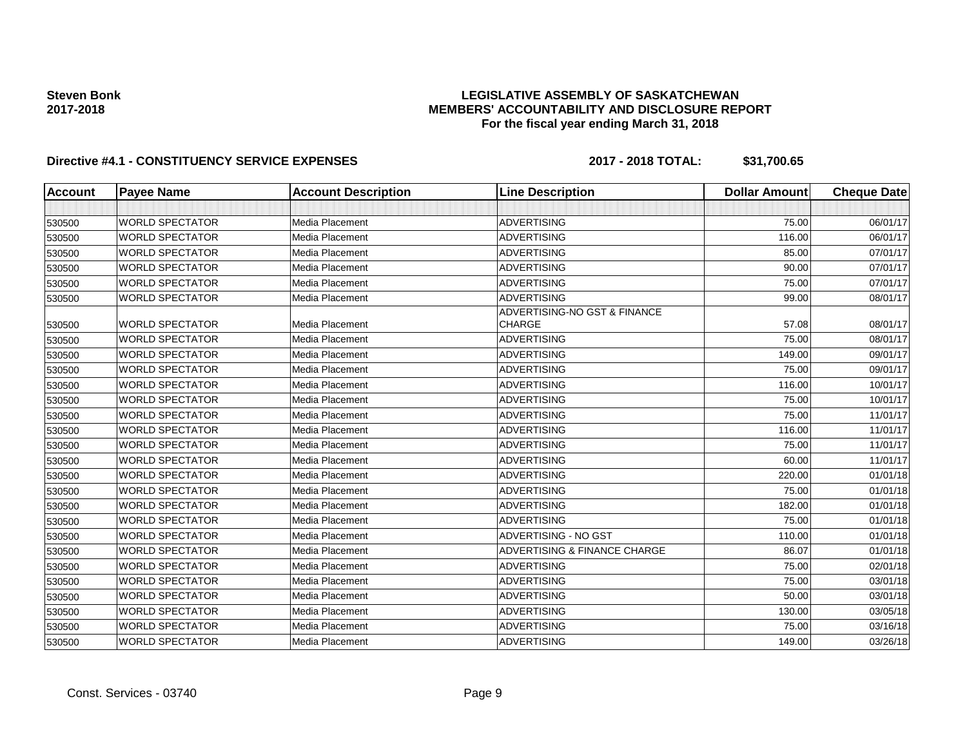# **LEGISLATIVE ASSEMBLY OF SASKATCHEWAN MEMBERS' ACCOUNTABILITY AND DISCLOSURE REPORT For the fiscal year ending March 31, 2018**

| <b>Account</b> | <b>Payee Name</b>      | <b>Account Description</b> | <b>Line Description</b>                 | <b>Dollar Amount</b> | <b>Cheque Date</b> |
|----------------|------------------------|----------------------------|-----------------------------------------|----------------------|--------------------|
|                |                        |                            |                                         |                      |                    |
| 530500         | <b>WORLD SPECTATOR</b> | Media Placement            | <b>ADVERTISING</b>                      | 75.00                | 06/01/17           |
| 530500         | <b>WORLD SPECTATOR</b> | <b>Media Placement</b>     | <b>ADVERTISING</b>                      | 116.00               | 06/01/17           |
| 530500         | <b>WORLD SPECTATOR</b> | <b>Media Placement</b>     | <b>ADVERTISING</b>                      | 85.00                | 07/01/17           |
| 530500         | <b>WORLD SPECTATOR</b> | Media Placement            | <b>ADVERTISING</b>                      | 90.00                | 07/01/17           |
| 530500         | <b>WORLD SPECTATOR</b> | Media Placement            | <b>ADVERTISING</b>                      | 75.00                | 07/01/17           |
| 530500         | <b>WORLD SPECTATOR</b> | Media Placement            | <b>ADVERTISING</b>                      | 99.00                | 08/01/17           |
|                |                        |                            | ADVERTISING-NO GST & FINANCE            |                      |                    |
| 530500         | <b>WORLD SPECTATOR</b> | Media Placement            | <b>CHARGE</b>                           | 57.08                | 08/01/17           |
| 530500         | <b>WORLD SPECTATOR</b> | Media Placement            | <b>ADVERTISING</b>                      | 75.00                | 08/01/17           |
| 530500         | <b>WORLD SPECTATOR</b> | <b>Media Placement</b>     | <b>ADVERTISING</b>                      | 149.00               | 09/01/17           |
| 530500         | <b>WORLD SPECTATOR</b> | <b>Media Placement</b>     | <b>ADVERTISING</b>                      | 75.00                | 09/01/17           |
| 530500         | <b>WORLD SPECTATOR</b> | <b>Media Placement</b>     | <b>ADVERTISING</b>                      | 116.00               | 10/01/17           |
| 530500         | <b>WORLD SPECTATOR</b> | Media Placement            | <b>ADVERTISING</b>                      | 75.00                | 10/01/17           |
| 530500         | <b>WORLD SPECTATOR</b> | Media Placement            | <b>ADVERTISING</b>                      | 75.00                | 11/01/17           |
| 530500         | <b>WORLD SPECTATOR</b> | <b>Media Placement</b>     | <b>ADVERTISING</b>                      | 116.00               | 11/01/17           |
| 530500         | <b>WORLD SPECTATOR</b> | Media Placement            | <b>ADVERTISING</b>                      | 75.00                | 11/01/17           |
| 530500         | <b>WORLD SPECTATOR</b> | <b>Media Placement</b>     | <b>ADVERTISING</b>                      | 60.00                | 11/01/17           |
| 530500         | <b>WORLD SPECTATOR</b> | Media Placement            | <b>ADVERTISING</b>                      | 220.00               | 01/01/18           |
| 530500         | <b>WORLD SPECTATOR</b> | Media Placement            | <b>ADVERTISING</b>                      | 75.00                | 01/01/18           |
| 530500         | <b>WORLD SPECTATOR</b> | <b>Media Placement</b>     | <b>ADVERTISING</b>                      | 182.00               | 01/01/18           |
| 530500         | <b>WORLD SPECTATOR</b> | <b>Media Placement</b>     | <b>ADVERTISING</b>                      | 75.00                | 01/01/18           |
| 530500         | <b>WORLD SPECTATOR</b> | <b>Media Placement</b>     | ADVERTISING - NO GST                    | 110.00               | 01/01/18           |
| 530500         | <b>WORLD SPECTATOR</b> | Media Placement            | <b>ADVERTISING &amp; FINANCE CHARGE</b> | 86.07                | 01/01/18           |
| 530500         | <b>WORLD SPECTATOR</b> | Media Placement            | <b>ADVERTISING</b>                      | 75.00                | 02/01/18           |
| 530500         | <b>WORLD SPECTATOR</b> | <b>Media Placement</b>     | <b>ADVERTISING</b>                      | 75.00                | 03/01/18           |
| 530500         | <b>WORLD SPECTATOR</b> | <b>Media Placement</b>     | <b>ADVERTISING</b>                      | 50.00                | 03/01/18           |
| 530500         | <b>WORLD SPECTATOR</b> | Media Placement            | <b>ADVERTISING</b>                      | 130.00               | 03/05/18           |
| 530500         | <b>WORLD SPECTATOR</b> | Media Placement            | <b>ADVERTISING</b>                      | 75.00                | 03/16/18           |
| 530500         | <b>WORLD SPECTATOR</b> | Media Placement            | <b>ADVERTISING</b>                      | 149.00               | 03/26/18           |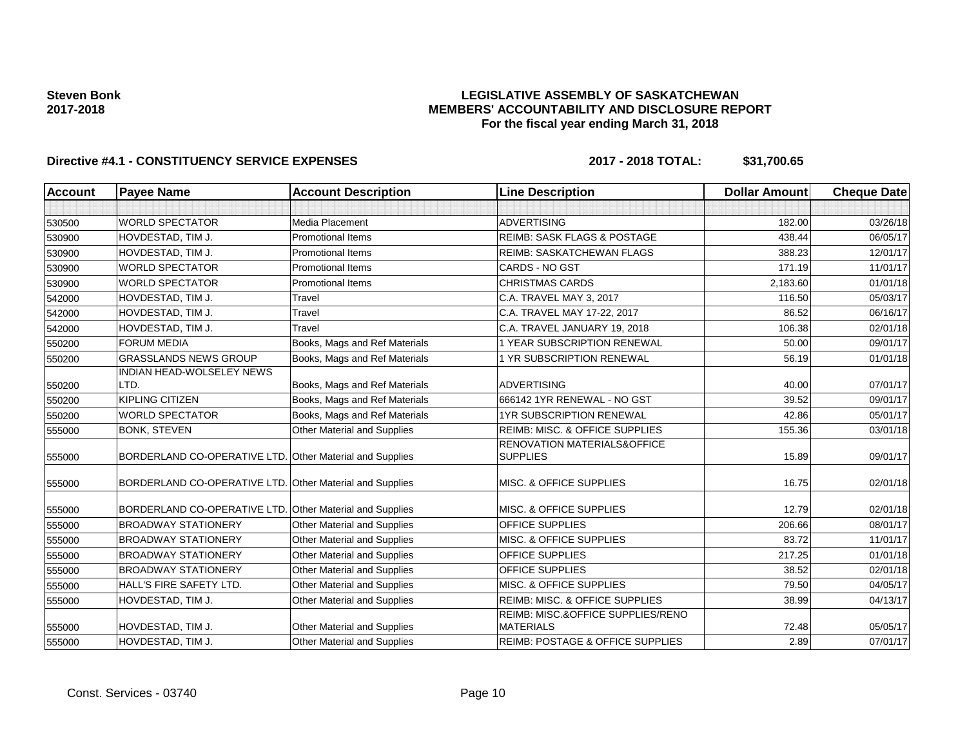# **LEGISLATIVE ASSEMBLY OF SASKATCHEWAN MEMBERS' ACCOUNTABILITY AND DISCLOSURE REPORT For the fiscal year ending March 31, 2018**

| <b>Account</b> | <b>Payee Name</b>                                        | <b>Account Description</b>         | <b>Line Description</b>                               | <b>Dollar Amount</b> | <b>Cheque Date</b> |
|----------------|----------------------------------------------------------|------------------------------------|-------------------------------------------------------|----------------------|--------------------|
|                |                                                          |                                    |                                                       |                      |                    |
| 530500         | <b>WORLD SPECTATOR</b>                                   | <b>Media Placement</b>             | <b>ADVERTISING</b>                                    | 182.00               | 03/26/18           |
| 530900         | HOVDESTAD, TIM J.                                        | <b>Promotional Items</b>           | <b>REIMB: SASK FLAGS &amp; POSTAGE</b>                | 438.44               | 06/05/17           |
| 530900         | HOVDESTAD, TIM J.                                        | <b>Promotional Items</b>           | REIMB: SASKATCHEWAN FLAGS                             | 388.23               | 12/01/17           |
| 530900         | <b>WORLD SPECTATOR</b>                                   | <b>Promotional Items</b>           | CARDS - NO GST                                        | 171.19               | 11/01/17           |
| 530900         | <b>WORLD SPECTATOR</b>                                   | <b>Promotional Items</b>           | CHRISTMAS CARDS                                       | 2,183.60             | 01/01/18           |
| 542000         | HOVDESTAD, TIM J.                                        | Travel                             | C.A. TRAVEL MAY 3, 2017                               | 116.50               | 05/03/17           |
| 542000         | HOVDESTAD, TIM J.                                        | Travel                             | C.A. TRAVEL MAY 17-22, 2017                           | 86.52                | 06/16/17           |
| 542000         | HOVDESTAD, TIM J.                                        | <b>Travel</b>                      | C.A. TRAVEL JANUARY 19, 2018                          | 106.38               | 02/01/18           |
| 550200         | <b>FORUM MEDIA</b>                                       | Books, Mags and Ref Materials      | <b>1 YEAR SUBSCRIPTION RENEWAL</b>                    | 50.00                | 09/01/17           |
| 550200         | <b>GRASSLANDS NEWS GROUP</b>                             | Books, Mags and Ref Materials      | 1 YR SUBSCRIPTION RENEWAL                             | 56.19                | 01/01/18           |
|                | INDIAN HEAD-WOLSELEY NEWS                                |                                    |                                                       |                      |                    |
| 550200         | LTD.                                                     | Books, Mags and Ref Materials      | <b>ADVERTISING</b>                                    | 40.00                | 07/01/17           |
| 550200         | <b>KIPLING CITIZEN</b>                                   | Books, Mags and Ref Materials      | 666142 1YR RENEWAL - NO GST                           | 39.52                | 09/01/17           |
| 550200         | <b>WORLD SPECTATOR</b>                                   | Books, Mags and Ref Materials      | 1YR SUBSCRIPTION RENEWAL                              | 42.86                | 05/01/17           |
| 555000         | <b>BONK, STEVEN</b>                                      | Other Material and Supplies        | REIMB: MISC. & OFFICE SUPPLIES                        | 155.36               | 03/01/18           |
|                |                                                          |                                    | RENOVATION MATERIALS&OFFICE                           |                      |                    |
| 555000         | BORDERLAND CO-OPERATIVE LTD. Other Material and Supplies |                                    | <b>SUPPLIES</b>                                       | 15.89                | 09/01/17           |
| 555000         | BORDERLAND CO-OPERATIVE LTD. Other Material and Supplies |                                    | MISC. & OFFICE SUPPLIES                               | 16.75                | 02/01/18           |
| 555000         | BORDERLAND CO-OPERATIVE LTD.                             | Other Material and Supplies        | MISC. & OFFICE SUPPLIES                               | 12.79                | 02/01/18           |
| 555000         | <b>BROADWAY STATIONERY</b>                               | Other Material and Supplies        | <b>OFFICE SUPPLIES</b>                                | 206.66               | 08/01/17           |
| 555000         | <b>BROADWAY STATIONERY</b>                               | Other Material and Supplies        | MISC. & OFFICE SUPPLIES                               | 83.72                | 11/01/17           |
| 555000         | <b>BROADWAY STATIONERY</b>                               | <b>Other Material and Supplies</b> | <b>OFFICE SUPPLIES</b>                                | 217.25               | 01/01/18           |
| 555000         | <b>BROADWAY STATIONERY</b>                               | Other Material and Supplies        | <b>OFFICE SUPPLIES</b>                                | 38.52                | 02/01/18           |
| 555000         | HALL'S FIRE SAFETY LTD.                                  | Other Material and Supplies        | MISC. & OFFICE SUPPLIES                               | 79.50                | 04/05/17           |
| 555000         | HOVDESTAD, TIM J.                                        | Other Material and Supplies        | REIMB: MISC. & OFFICE SUPPLIES                        | 38.99                | 04/13/17           |
| 555000         | HOVDESTAD, TIM J.                                        | Other Material and Supplies        | REIMB: MISC.&OFFICE SUPPLIES/RENO<br><b>MATERIALS</b> | 72.48                | 05/05/17           |
| 555000         | HOVDESTAD, TIM J.                                        | Other Material and Supplies        | <b>REIMB: POSTAGE &amp; OFFICE SUPPLIES</b>           | 2.89                 | 07/01/17           |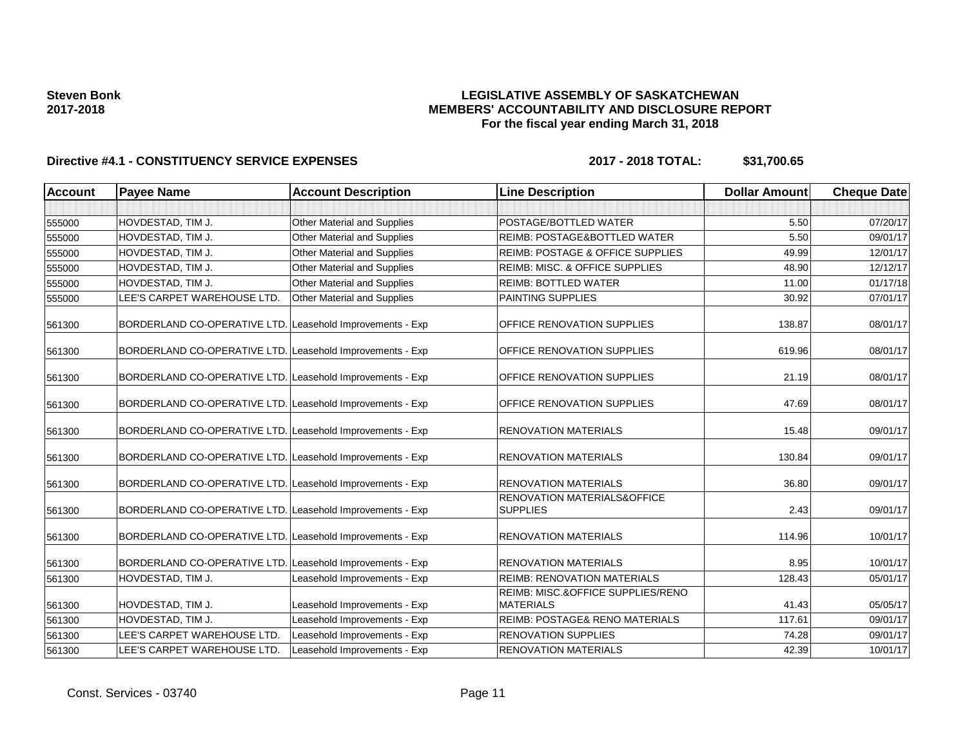# **LEGISLATIVE ASSEMBLY OF SASKATCHEWAN MEMBERS' ACCOUNTABILITY AND DISCLOSURE REPORT For the fiscal year ending March 31, 2018**

| <b>Account</b> | <b>Payee Name</b>                                         | <b>Account Description</b>         | <b>Line Description</b>                                   | <b>Dollar Amount</b> | <b>Cheque Date</b> |
|----------------|-----------------------------------------------------------|------------------------------------|-----------------------------------------------------------|----------------------|--------------------|
|                |                                                           |                                    |                                                           |                      |                    |
| 555000         | HOVDESTAD, TIM J.                                         | Other Material and Supplies        | POSTAGE/BOTTLED WATER                                     | 5.50                 | 07/20/17           |
| 555000         | HOVDESTAD, TIM J.                                         | <b>Other Material and Supplies</b> | <b>REIMB: POSTAGE&amp;BOTTLED WATER</b>                   | 5.50                 | 09/01/17           |
| 555000         | HOVDESTAD, TIM J.                                         | Other Material and Supplies        | <b>REIMB: POSTAGE &amp; OFFICE SUPPLIES</b>               | 49.99                | 12/01/17           |
| 555000         | HOVDESTAD, TIM J.                                         | Other Material and Supplies        | <b>REIMB: MISC. &amp; OFFICE SUPPLIES</b>                 | 48.90                | 12/12/17           |
| 555000         | HOVDESTAD, TIM J.                                         | Other Material and Supplies        | <b>REIMB: BOTTLED WATER</b>                               | 11.00                | 01/17/18           |
| 555000         | LEE'S CARPET WAREHOUSE LTD.                               | Other Material and Supplies        | <b>PAINTING SUPPLIES</b>                                  | 30.92                | 07/01/17           |
| 561300         | BORDERLAND CO-OPERATIVE LTD. Leasehold Improvements - Exp |                                    | OFFICE RENOVATION SUPPLIES                                | 138.87               | 08/01/17           |
| 561300         | BORDERLAND CO-OPERATIVE LTD. Leasehold Improvements - Exp |                                    | OFFICE RENOVATION SUPPLIES                                | 619.96               | 08/01/17           |
| 561300         | BORDERLAND CO-OPERATIVE LTD. Leasehold Improvements - Exp |                                    | OFFICE RENOVATION SUPPLIES                                | 21.19                | 08/01/17           |
| 561300         | BORDERLAND CO-OPERATIVE LTD. Leasehold Improvements - Exp |                                    | OFFICE RENOVATION SUPPLIES                                | 47.69                | 08/01/17           |
| 561300         | BORDERLAND CO-OPERATIVE LTD. Leasehold Improvements - Exp |                                    | <b>RENOVATION MATERIALS</b>                               | 15.48                | 09/01/17           |
| 561300         | BORDERLAND CO-OPERATIVE LTD. Leasehold Improvements - Exp |                                    | <b>RENOVATION MATERIALS</b>                               | 130.84               | 09/01/17           |
| 561300         | BORDERLAND CO-OPERATIVE LTD. Leasehold Improvements - Exp |                                    | <b>RENOVATION MATERIALS</b>                               | 36.80                | 09/01/17           |
| 561300         | BORDERLAND CO-OPERATIVE LTD. Leasehold Improvements - Exp |                                    | <b>RENOVATION MATERIALS&amp;OFFICE</b><br><b>SUPPLIES</b> | 2.43                 | 09/01/17           |
| 561300         | BORDERLAND CO-OPERATIVE LTD. Leasehold Improvements - Exp |                                    | <b>RENOVATION MATERIALS</b>                               | 114.96               | 10/01/17           |
| 561300         | BORDERLAND CO-OPERATIVE LTD. Leasehold Improvements - Exp |                                    | <b>RENOVATION MATERIALS</b>                               | 8.95                 | 10/01/17           |
| 561300         | HOVDESTAD, TIM J.                                         | Leasehold Improvements - Exp       | <b>REIMB: RENOVATION MATERIALS</b>                        | 128.43               | 05/01/17           |
| 561300         | HOVDESTAD, TIM J.                                         | Leasehold Improvements - Exp       | REIMB: MISC.&OFFICE SUPPLIES/RENO<br><b>MATERIALS</b>     | 41.43                | 05/05/17           |
| 561300         | HOVDESTAD, TIM J.                                         | Leasehold Improvements - Exp       | REIMB: POSTAGE& RENO MATERIALS                            | 117.61               | 09/01/17           |
| 561300         | LEE'S CARPET WAREHOUSE LTD.                               | Leasehold Improvements - Exp       | <b>RENOVATION SUPPLIES</b>                                | 74.28                | 09/01/17           |
| 561300         | LEE'S CARPET WAREHOUSE LTD.                               | Leasehold Improvements - Exp       | <b>RENOVATION MATERIALS</b>                               | 42.39                | 10/01/17           |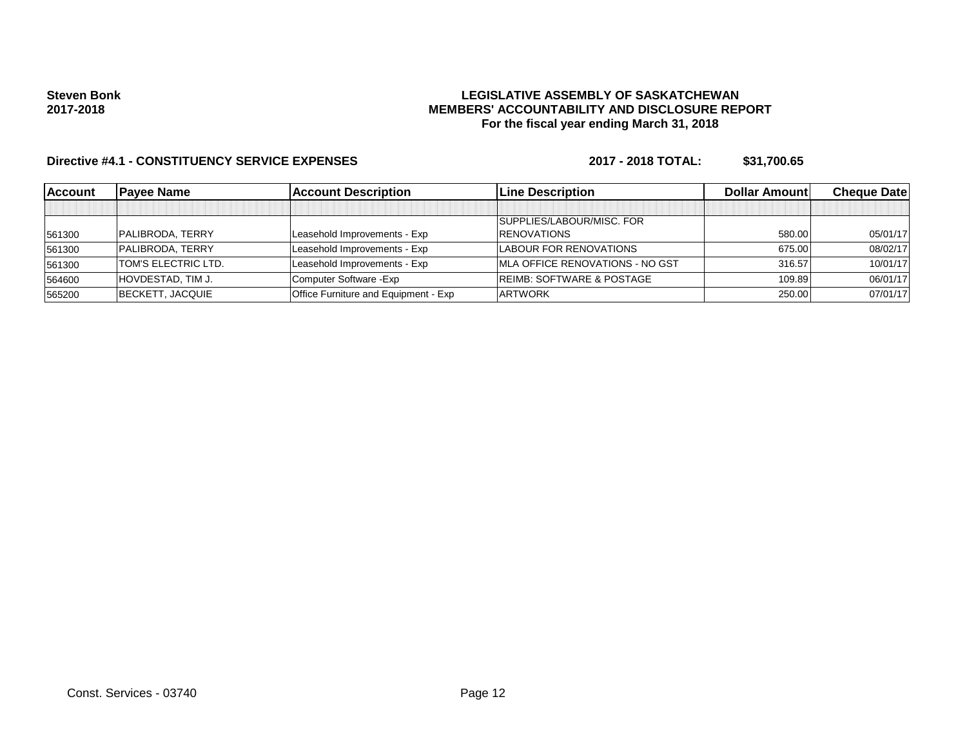# **LEGISLATIVE ASSEMBLY OF SASKATCHEWAN MEMBERS' ACCOUNTABILITY AND DISCLOSURE REPORT For the fiscal year ending March 31, 2018**

| <b>Account</b> | <b>Pavee Name</b>          | <b>Account Description</b>                  | <b>Line Description</b>                 | <b>Dollar Amountl</b> | <b>Cheque Datel</b> |
|----------------|----------------------------|---------------------------------------------|-----------------------------------------|-----------------------|---------------------|
|                |                            |                                             |                                         |                       |                     |
|                |                            |                                             | SUPPLIES/LABOUR/MISC. FOR               |                       |                     |
| 561300         | PALIBRODA, TERRY           | Leasehold Improvements - Exp                | <b>IRENOVATIONS</b>                     | 580.00                | 05/01/17            |
| 561300         | <b>PALIBRODA, TERRY</b>    | Leasehold Improvements - Exp                | LABOUR FOR RENOVATIONS                  | 675.00                | 08/02/17            |
| 561300         | <b>TOM'S ELECTRIC LTD.</b> | Leasehold Improvements - Exp                | <b>IMLA OFFICE RENOVATIONS - NO GST</b> | 316.57                | 10/01/17            |
| 564600         | HOVDESTAD, TIM J.          | Computer Software - Exp                     | <b>REIMB: SOFTWARE &amp; POSTAGE</b>    | 109.89                | 06/01/17            |
| 565200         | <b>BECKETT, JACQUIE</b>    | <b>Office Furniture and Equipment - Exp</b> | <b>ARTWORK</b>                          | 250.00                | 07/01/17            |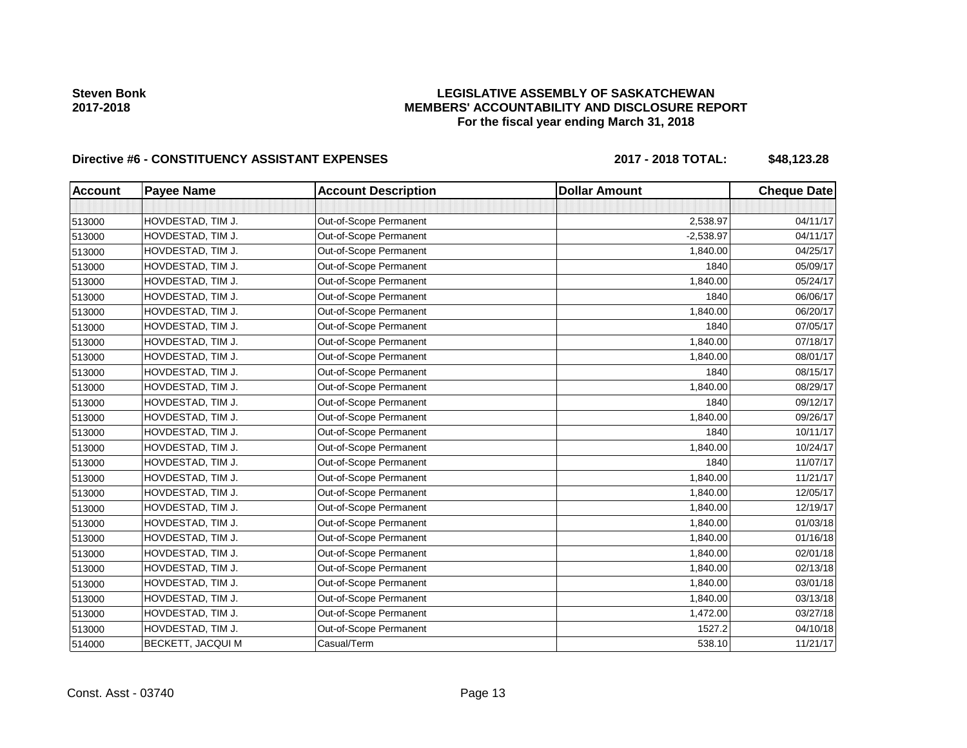# **LEGISLATIVE ASSEMBLY OF SASKATCHEWAN MEMBERS' ACCOUNTABILITY AND DISCLOSURE REPORT For the fiscal year ending March 31, 2018**

# Directive #6 - CONSTITUENCY ASSISTANT EXPENSES 2017 - 2018 TOTAL: \$48,123.28

| <b>Account</b> | <b>Payee Name</b> | <b>Account Description</b> | <b>Dollar Amount</b> | <b>Cheque Date</b> |
|----------------|-------------------|----------------------------|----------------------|--------------------|
|                |                   |                            |                      |                    |
| 513000         | HOVDESTAD, TIM J. | Out-of-Scope Permanent     | 2,538.97             | 04/11/17           |
| 513000         | HOVDESTAD, TIM J. | Out-of-Scope Permanent     | $-2,538.97$          | 04/11/17           |
| 513000         | HOVDESTAD, TIM J. | Out-of-Scope Permanent     | 1,840.00             | 04/25/17           |
| 513000         | HOVDESTAD, TIM J. | Out-of-Scope Permanent     | 1840                 | 05/09/17           |
| 513000         | HOVDESTAD, TIM J. | Out-of-Scope Permanent     | 1,840.00             | 05/24/17           |
| 513000         | HOVDESTAD, TIM J. | Out-of-Scope Permanent     | 1840                 | 06/06/17           |
| 513000         | HOVDESTAD, TIM J. | Out-of-Scope Permanent     | 1,840.00             | 06/20/17           |
| 513000         | HOVDESTAD, TIM J. | Out-of-Scope Permanent     | 1840                 | 07/05/17           |
| 513000         | HOVDESTAD, TIM J. | Out-of-Scope Permanent     | 1,840.00             | 07/18/17           |
| 513000         | HOVDESTAD, TIM J. | Out-of-Scope Permanent     | 1,840.00             | 08/01/17           |
| 513000         | HOVDESTAD, TIM J. | Out-of-Scope Permanent     | 1840                 | 08/15/17           |
| 513000         | HOVDESTAD, TIM J. | Out-of-Scope Permanent     | 1,840.00             | 08/29/17           |
| 513000         | HOVDESTAD, TIM J. | Out-of-Scope Permanent     | 1840                 | 09/12/17           |
| 513000         | HOVDESTAD, TIM J. | Out-of-Scope Permanent     | 1,840.00             | 09/26/17           |
| 513000         | HOVDESTAD, TIM J. | Out-of-Scope Permanent     | 1840                 | 10/11/17           |
| 513000         | HOVDESTAD, TIM J. | Out-of-Scope Permanent     | 1,840.00             | 10/24/17           |
| 513000         | HOVDESTAD, TIM J. | Out-of-Scope Permanent     | 1840                 | 11/07/17           |
| 513000         | HOVDESTAD, TIM J. | Out-of-Scope Permanent     | 1,840.00             | 11/21/17           |
| 513000         | HOVDESTAD, TIM J. | Out-of-Scope Permanent     | 1,840.00             | 12/05/17           |
| 513000         | HOVDESTAD, TIM J. | Out-of-Scope Permanent     | 1,840.00             | 12/19/17           |
| 513000         | HOVDESTAD, TIM J. | Out-of-Scope Permanent     | 1,840.00             | 01/03/18           |
| 513000         | HOVDESTAD, TIM J. | Out-of-Scope Permanent     | 1,840.00             | 01/16/18           |
| 513000         | HOVDESTAD, TIM J. | Out-of-Scope Permanent     | 1,840.00             | 02/01/18           |
| 513000         | HOVDESTAD, TIM J. | Out-of-Scope Permanent     | 1,840.00             | 02/13/18           |
| 513000         | HOVDESTAD, TIM J. | Out-of-Scope Permanent     | 1,840.00             | 03/01/18           |
| 513000         | HOVDESTAD, TIM J. | Out-of-Scope Permanent     | 1,840.00             | 03/13/18           |
| 513000         | HOVDESTAD, TIM J. | Out-of-Scope Permanent     | 1,472.00             | 03/27/18           |
| 513000         | HOVDESTAD, TIM J. | Out-of-Scope Permanent     | 1527.2               | 04/10/18           |
| 514000         | BECKETT, JACQUI M | Casual/Term                | 538.10               | 11/21/17           |